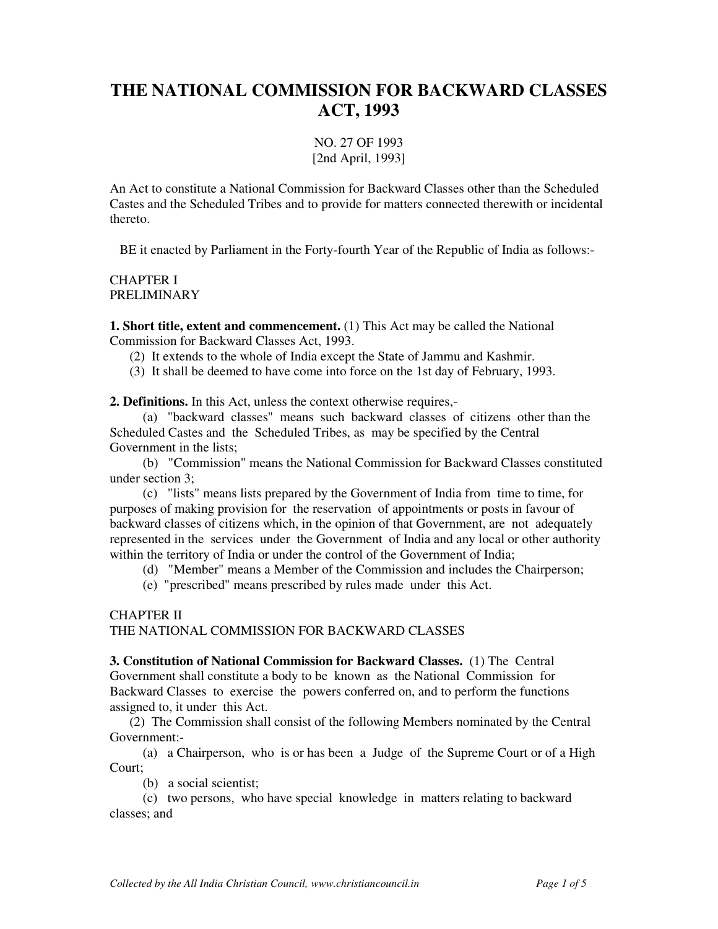# **THE NATIONAL COMMISSION FOR BACKWARD CLASSES ACT, 1993**

NO. 27 OF 1993 [2nd April, 1993]

An Act to constitute a National Commission for Backward Classes other than the Scheduled Castes and the Scheduled Tribes and to provide for matters connected therewith or incidental thereto.

BE it enacted by Parliament in the Forty-fourth Year of the Republic of India as follows:-

CHAPTER I PRELIMINARY

**1. Short title, extent and commencement.** (1) This Act may be called the National Commission for Backward Classes Act, 1993.

(2) It extends to the whole of India except the State of Jammu and Kashmir.

(3) It shall be deemed to have come into force on the 1st day of February, 1993.

**2. Definitions.** In this Act, unless the context otherwise requires,-

 (a) "backward classes" means such backward classes of citizens other than the Scheduled Castes and the Scheduled Tribes, as may be specified by the Central Government in the lists;

 (b) "Commission" means the National Commission for Backward Classes constituted under section 3;

 (c) "lists" means lists prepared by the Government of India from time to time, for purposes of making provision for the reservation of appointments or posts in favour of backward classes of citizens which, in the opinion of that Government, are not adequately represented in the services under the Government of India and any local or other authority within the territory of India or under the control of the Government of India;

(d) "Member" means a Member of the Commission and includes the Chairperson;

(e) "prescribed" means prescribed by rules made under this Act.

#### CHAPTER II

THE NATIONAL COMMISSION FOR BACKWARD CLASSES

**3. Constitution of National Commission for Backward Classes.** (1) The Central Government shall constitute a body to be known as the National Commission for Backward Classes to exercise the powers conferred on, and to perform the functions assigned to, it under this Act.

 (2) The Commission shall consist of the following Members nominated by the Central Government:-

 (a) a Chairperson, who is or has been a Judge of the Supreme Court or of a High Court;

(b) a social scientist;

 (c) two persons, who have special knowledge in matters relating to backward classes; and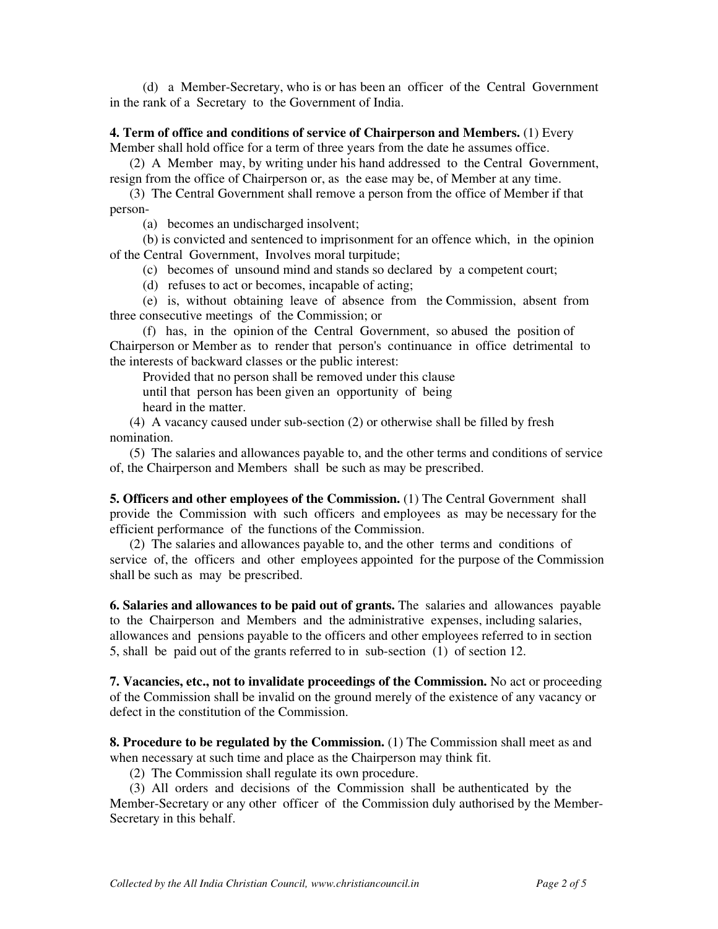(d) a Member-Secretary, who is or has been an officer of the Central Government in the rank of a Secretary to the Government of India.

# **4. Term of office and conditions of service of Chairperson and Members.** (1) Every

Member shall hold office for a term of three years from the date he assumes office.

 (2) A Member may, by writing under his hand addressed to the Central Government, resign from the office of Chairperson or, as the ease may be, of Member at any time.

 (3) The Central Government shall remove a person from the office of Member if that person-

(a) becomes an undischarged insolvent;

 (b) is convicted and sentenced to imprisonment for an offence which, in the opinion of the Central Government, Involves moral turpitude;

(c) becomes of unsound mind and stands so declared by a competent court;

(d) refuses to act or becomes, incapable of acting;

 (e) is, without obtaining leave of absence from the Commission, absent from three consecutive meetings of the Commission; or

 (f) has, in the opinion of the Central Government, so abused the position of Chairperson or Member as to render that person's continuance in office detrimental to the interests of backward classes or the public interest:

 Provided that no person shall be removed under this clause until that person has been given an opportunity of being

heard in the matter.

 (4) A vacancy caused under sub-section (2) or otherwise shall be filled by fresh nomination.

 (5) The salaries and allowances payable to, and the other terms and conditions of service of, the Chairperson and Members shall be such as may be prescribed.

**5. Officers and other employees of the Commission.** (1) The Central Government shall provide the Commission with such officers and employees as may be necessary for the efficient performance of the functions of the Commission.

 (2) The salaries and allowances payable to, and the other terms and conditions of service of, the officers and other employees appointed for the purpose of the Commission shall be such as may be prescribed.

**6. Salaries and allowances to be paid out of grants.** The salaries and allowances payable to the Chairperson and Members and the administrative expenses, including salaries, allowances and pensions payable to the officers and other employees referred to in section 5, shall be paid out of the grants referred to in sub-section (1) of section 12.

**7. Vacancies, etc., not to invalidate proceedings of the Commission.** No act or proceeding of the Commission shall be invalid on the ground merely of the existence of any vacancy or defect in the constitution of the Commission.

**8. Procedure to be regulated by the Commission.** (1) The Commission shall meet as and when necessary at such time and place as the Chairperson may think fit.

(2) The Commission shall regulate its own procedure.

 (3) All orders and decisions of the Commission shall be authenticated by the Member-Secretary or any other officer of the Commission duly authorised by the Member-Secretary in this behalf.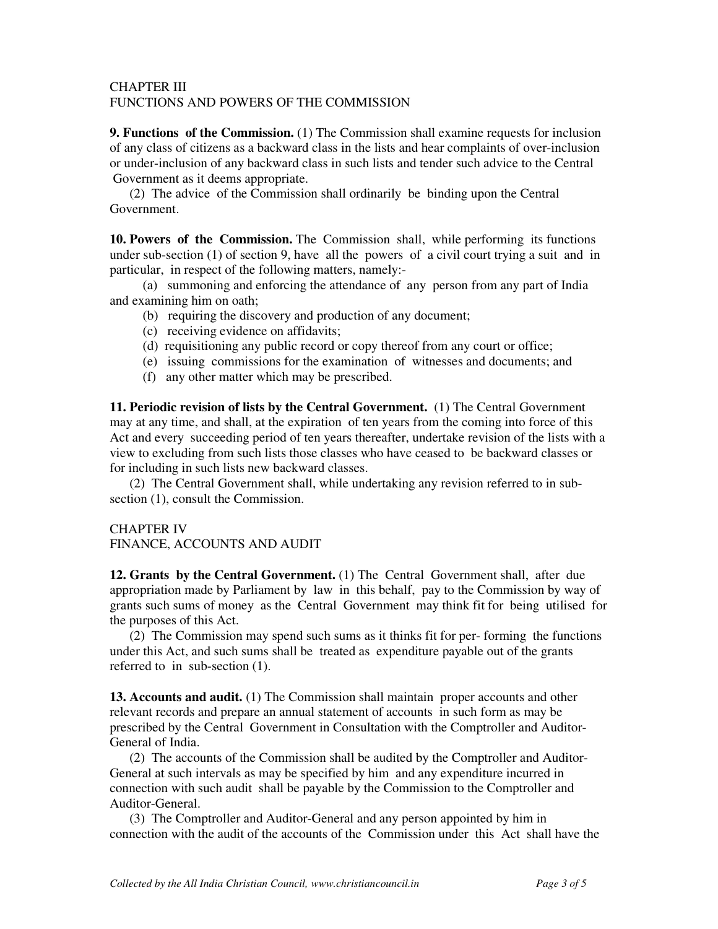#### CHAPTER III FUNCTIONS AND POWERS OF THE COMMISSION

**9. Functions of the Commission.** (1) The Commission shall examine requests for inclusion of any class of citizens as a backward class in the lists and hear complaints of over-inclusion or under-inclusion of any backward class in such lists and tender such advice to the Central Government as it deems appropriate.

 (2) The advice of the Commission shall ordinarily be binding upon the Central Government.

**10. Powers of the Commission.** The Commission shall, while performing its functions under sub-section (1) of section 9, have all the powers of a civil court trying a suit and in particular, in respect of the following matters, namely:-

 (a) summoning and enforcing the attendance of any person from any part of India and examining him on oath;

- (b) requiring the discovery and production of any document;
- (c) receiving evidence on affidavits;
- (d) requisitioning any public record or copy thereof from any court or office;
- (e) issuing commissions for the examination of witnesses and documents; and
- (f) any other matter which may be prescribed.

**11. Periodic revision of lists by the Central Government.** (1) The Central Government may at any time, and shall, at the expiration of ten years from the coming into force of this Act and every succeeding period of ten years thereafter, undertake revision of the lists with a view to excluding from such lists those classes who have ceased to be backward classes or for including in such lists new backward classes.

 (2) The Central Government shall, while undertaking any revision referred to in subsection (1), consult the Commission.

#### CHAPTER IV

FINANCE, ACCOUNTS AND AUDIT

**12. Grants by the Central Government.** (1) The Central Government shall, after due appropriation made by Parliament by law in this behalf, pay to the Commission by way of grants such sums of money as the Central Government may think fit for being utilised for the purposes of this Act.

 (2) The Commission may spend such sums as it thinks fit for per- forming the functions under this Act, and such sums shall be treated as expenditure payable out of the grants referred to in sub-section (1).

**13. Accounts and audit.** (1) The Commission shall maintain proper accounts and other relevant records and prepare an annual statement of accounts in such form as may be prescribed by the Central Government in Consultation with the Comptroller and Auditor-General of India.

 (2) The accounts of the Commission shall be audited by the Comptroller and Auditor-General at such intervals as may be specified by him and any expenditure incurred in connection with such audit shall be payable by the Commission to the Comptroller and Auditor-General.

 (3) The Comptroller and Auditor-General and any person appointed by him in connection with the audit of the accounts of the Commission under this Act shall have the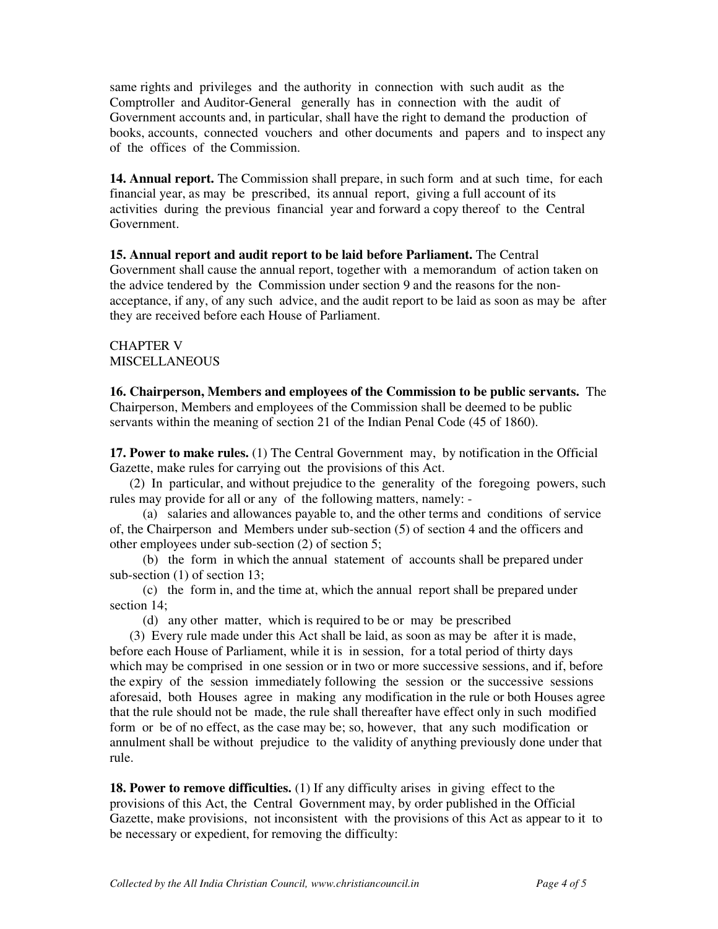same rights and privileges and the authority in connection with such audit as the Comptroller and Auditor-General generally has in connection with the audit of Government accounts and, in particular, shall have the right to demand the production of books, accounts, connected vouchers and other documents and papers and to inspect any of the offices of the Commission.

**14. Annual report.** The Commission shall prepare, in such form and at such time, for each financial year, as may be prescribed, its annual report, giving a full account of its activities during the previous financial year and forward a copy thereof to the Central Government.

### **15. Annual report and audit report to be laid before Parliament.** The Central

Government shall cause the annual report, together with a memorandum of action taken on the advice tendered by the Commission under section 9 and the reasons for the nonacceptance, if any, of any such advice, and the audit report to be laid as soon as may be after they are received before each House of Parliament.

## CHAPTER V MISCELLANEOUS

**16. Chairperson, Members and employees of the Commission to be public servants.** The Chairperson, Members and employees of the Commission shall be deemed to be public servants within the meaning of section 21 of the Indian Penal Code (45 of 1860).

**17. Power to make rules.** (1) The Central Government may, by notification in the Official Gazette, make rules for carrying out the provisions of this Act.

 (2) In particular, and without prejudice to the generality of the foregoing powers, such rules may provide for all or any of the following matters, namely: -

 (a) salaries and allowances payable to, and the other terms and conditions of service of, the Chairperson and Members under sub-section (5) of section 4 and the officers and other employees under sub-section (2) of section 5;

 (b) the form in which the annual statement of accounts shall be prepared under sub-section (1) of section 13;

 (c) the form in, and the time at, which the annual report shall be prepared under section 14;

(d) any other matter, which is required to be or may be prescribed

 (3) Every rule made under this Act shall be laid, as soon as may be after it is made, before each House of Parliament, while it is in session, for a total period of thirty days which may be comprised in one session or in two or more successive sessions, and if, before the expiry of the session immediately following the session or the successive sessions aforesaid, both Houses agree in making any modification in the rule or both Houses agree that the rule should not be made, the rule shall thereafter have effect only in such modified form or be of no effect, as the case may be; so, however, that any such modification or annulment shall be without prejudice to the validity of anything previously done under that rule.

**18. Power to remove difficulties.** (1) If any difficulty arises in giving effect to the provisions of this Act, the Central Government may, by order published in the Official Gazette, make provisions, not inconsistent with the provisions of this Act as appear to it to be necessary or expedient, for removing the difficulty: